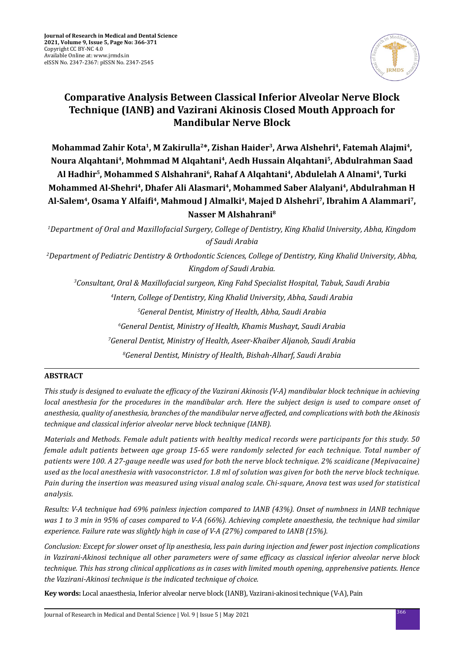

# **Comparative Analysis Between Classical Inferior Alveolar Nerve Block Technique (IANB) and Vazirani Akinosis Closed Mouth Approach for Mandibular Nerve Block**

Mohammad Zahir Kota<sup>1</sup>, M Zakirulla<sup>2\*</sup>, Zishan Haider<sup>3</sup>, Arwa Alshehri<sup>4</sup>, Fatemah Alajmi<sup>4</sup>, **Noura Alqahtani4, Mohmmad M Alqahtani4, Aedh Hussain Alqahtani5, Abdulrahman Saad Al Hadhir5, Mohammed S Alshahrani6, Rahaf A Alqahtani4, Abdulelah A Alnami4, Turki**  Mohammed Al-Shehri<sup>4</sup>, Dhafer Ali Alasmari<sup>4</sup>, Mohammed Saber Alalyani<sup>4</sup>, Abdulrahman H **Al-Salem4, Osama Y Alfaifi4, Mahmoud J Almalki4, Majed D Alshehri7, Ibrahim A Alammari7, Nasser M Alshahrani8**

*1 Department of Oral and Maxillofacial Surgery, College of Dentistry, King Khalid University, Abha, Kingdom of Saudi Arabia* 

*2 Department of Pediatric Dentistry & Orthodontic Sciences, College of Dentistry, King Khalid University, Abha, Kingdom of Saudi Arabia.*

*3 Consultant, Oral & Maxillofacial surgeon, King Fahd Specialist Hospital, Tabuk, Saudi Arabia*

*4 Intern, College of Dentistry, King Khalid University, Abha, Saudi Arabia*

*5 General Dentist, Ministry of Health, Abha, Saudi Arabia*

*6 General Dentist, Ministry of Health, Khamis Mushayt, Saudi Arabia*

*7 General Dentist, Ministry of Health, Aseer-Khaiber Aljanob, Saudi Arabia*

*8 General Dentist, Ministry of Health, Bishah-Alharf, Saudi Arabia*

# **ABSTRACT**

*This study is designed to evaluate the efficacy of the Vazirani Akinosis (V-A) mandibular block technique in achieving local anesthesia for the procedures in the mandibular arch. Here the subject design is used to compare onset of anesthesia, quality of anesthesia, branches of the mandibular nerve affected, and complications with both the Akinosis technique and classical inferior alveolar nerve block technique (IANB).* 

*Materials and Methods. Female adult patients with healthy medical records were participants for this study. 50 female adult patients between age group 15-65 were randomly selected for each technique. Total number of patients were 100. A 27-gauge needle was used for both the nerve block technique. 2% scaidicane (Mepivacaine) used as the local anesthesia with vasoconstrictor. 1.8 ml of solution was given for both the nerve block technique. Pain during the insertion was measured using visual analog scale. Chi-square, Anova test was used for statistical analysis.* 

*Results: V-A technique had 69% painless injection compared to IANB (43%). Onset of numbness in IANB technique was 1 to 3 min in 95% of cases compared to V-A (66%). Achieving complete anaesthesia, the technique had similar experience. Failure rate was slightly high in case of V-A (27%) compared to IANB (15%).* 

*Conclusion: Except for slower onset of lip anesthesia, less pain during injection and fewer post injection complications in Vazirani-Akinosi technique all other parameters were of same efficacy as classical inferior alveolar nerve block technique. This has strong clinical applications as in cases with limited mouth opening, apprehensive patients. Hence the Vazirani-Akinosi technique is the indicated technique of choice.*

**Key words:** Local anaesthesia, Inferior alveolar nerve block (IANB), Vazirani-akinosi technique (V-A), Pain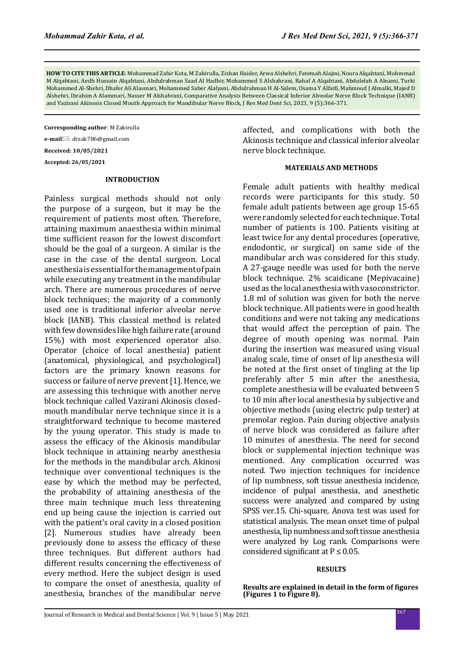**HOW TO CITE THIS ARTICLE**: Mohammad Zahir Kota, M Zakirulla, Zishan Haider, Arwa Alshehri, Fatemah Alajmi, Noura Alqahtani, Mohmmad M Alqahtani, Aedh Hussain Alqahtani, Abdulrahman Saad Al Hadhir, Mohammed S Alshahrani, Rahaf A Alqahtani, Abdulelah A Alnami, Turki Mohammed Al-Shehri, Dhafer Ali Alasmari, Mohammed Saber Alalyani, Abdulrahman H Al-Salem, Osama Y Alfaifi, Mahmoud J Almalki, Majed D Alshehri, Ibrahim A Alammari, Nasser M Alshahrani, Comparative Analysis Between Classical Inferior Alveolar Nerve Block Technique (IANB) and Vazirani Akinosis Closed Mouth Approach for Mandibular Nerve Block, J Res Med Dent Sci, 2021, 9 (5):366-371.

**Corresponding author**: M Zakirulla

**e-mail**: drzak786@gmail.com

**Received: 10/05/2021**

**Accepted: 26/05/2021**

#### **INTRODUCTION**

Painless surgical methods should not only the purpose of a surgeon, but it may be the requirement of patients most often. Therefore, attaining maximum anaesthesia within minimal time sufficient reason for the lowest discomfort should be the goal of a surgeon. A similar is the case in the case of the dental surgeon. Local anesthesia is essential for the management of pain while executing any treatment in the mandibular arch. There are numerous procedures of nerve block techniques; the majority of a commonly used one is traditional inferior alveolar nerve block (IANB). This classical method is related with few downsides like high failure rate (around 15%) with most experienced operator also. Operator (choice of local anesthesia) patient (anatomical, physiological, and psychological) factors are the primary known reasons for success or failure of nerve prevent [1]. Hence, we are assessing this technique with another nerve block technique called Vazirani Akinosis closedmouth mandibular nerve technique since it is a straightforward technique to become mastered by the young operator. This study is made to assess the efficacy of the Akinosis mandibular block technique in attaining nearby anesthesia for the methods in the mandibular arch. Akinosi technique over conventional techniques is the ease by which the method may be perfected, the probability of attaining anesthesia of the three main technique much less threatening end up being cause the injection is carried out with the patient's oral cavity in a closed position [2]. Numerous studies have already been previously done to assess the efficacy of these three techniques. But different authors had different results concerning the effectiveness of every method. Here the subject design is used to compare the onset of anesthesia, quality of anesthesia, branches of the mandibular nerve affected, and complications with both the Akinosis technique and classical inferior alveolar nerve block technique.

## **MATERIALS AND METHODS**

Female adult patients with healthy medical records were participants for this study. 50 female adult patients between age group 15-65 were randomly selected for each technique. Total number of patients is 100. Patients visiting at least twice for any dental procedures (operative, endodontic, or surgical) on same side of the mandibular arch was considered for this study. A 27-gauge needle was used for both the nerve block technique. 2% scaidicane (Mepivacaine) used as the local anesthesia with vasoconstrictor. 1.8 ml of solution was given for both the nerve block technique. All patients were in good health conditions and were not taking any medications that would affect the perception of pain. The degree of mouth opening was normal. Pain during the insertion was measured using visual analog scale, time of onset of lip anesthesia will be noted at the first onset of tingling at the lip preferably after 5 min after the anesthesia, complete anesthesia will be evaluated between 5 to 10 min after local anesthesia by subjective and objective methods (using electric pulp tester) at premolar region. Pain during objective analysis of nerve block was considered as failure after 10 minutes of anesthesia. The need for second block or supplemental injection technique was mentioned. Any complication occurred was noted. Two injection techniques for incidence of lip numbness, soft tissue anesthesia incidence, incidence of pulpal anesthesia, and anesthetic success were analyzed and compared by using SPSS ver.15. Chi-square, Anova test was used for statistical analysis. The mean onset time of pulpal anesthesia, lip numbness and soft tissue anesthesia were analyzed by Log rank. Comparisons were considered significant at  $P \le 0.05$ .

# **RESULTS**

**Results are explained in detail in the form of figures (Figures 1 to Figure 8).**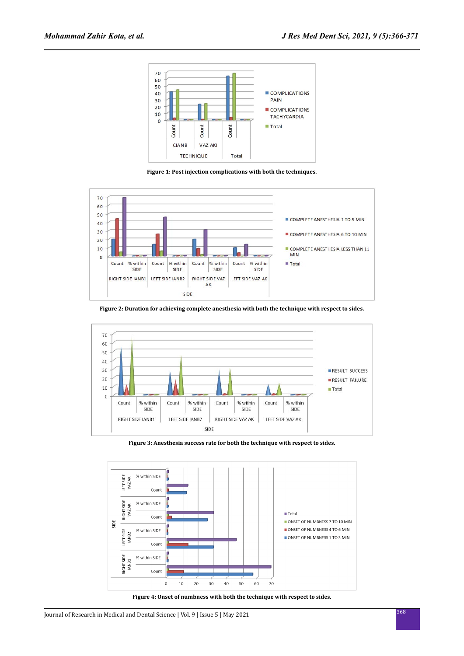

**Figure 1: Post injection complications with both the techniques.**



**Figure 2: Duration for achieving complete anesthesia with both the technique with respect to sides.**



**Figure 3: Anesthesia success rate for both the technique with respect to sides.**



**Figure 4: Onset of numbness with both the technique with respect to sides.**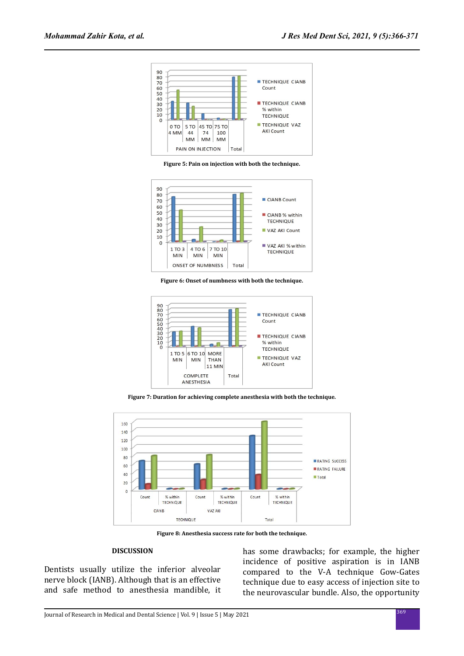

**Figure 5: Pain on injection with both the technique.**







**Figure 7: Duration for achieving complete anesthesia with both the technique.**



**Figure 8: Anesthesia success rate for both the technique.**

#### **DISCUSSION**

Dentists usually utilize the inferior alveolar nerve block (IANB). Although that is an effective and safe method to anesthesia mandible, it has some drawbacks; for example, the higher incidence of positive aspiration is in IANB compared to the V-A technique Gow-Gates technique due to easy access of injection site to the neurovascular bundle. Also, the opportunity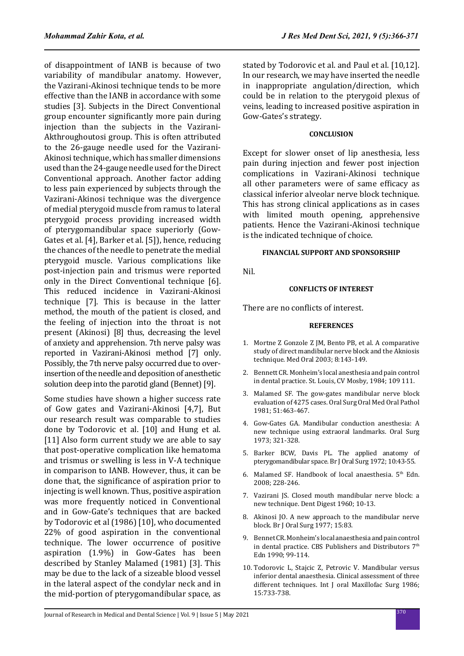of disappointment of IANB is because of two variability of mandibular anatomy. However, the Vazirani-Akinosi technique tends to be more effective than the IANB in accordance with some studies [3]. Subjects in the Direct Conventional group encounter significantly more pain during injection than the subjects in the Vazirani-Akthroughoutosi group. This is often attributed to the 26-gauge needle used for the Vazirani-Akinosi technique, which has smaller dimensions used than the 24-gauge needle used for the Direct Conventional approach. Another factor adding to less pain experienced by subjects through the Vazirani-Akinosi technique was the divergence of medial pterygoid muscle from ramus to lateral pterygoid process providing increased width of pterygomandibular space superiorly (Gow-Gates et al. [4], Barker et al. [5]), hence, reducing the chances of the needle to penetrate the medial pterygoid muscle. Various complications like post-injection pain and trismus were reported only in the Direct Conventional technique [6]. This reduced incidence in Vazirani-Akinosi technique [7]. This is because in the latter method, the mouth of the patient is closed, and the feeling of injection into the throat is not present (Akinosi) [8] thus, decreasing the level of anxiety and apprehension. 7th nerve palsy was reported in Vazirani-Akinosi method [7] only. Possibly, the 7th nerve palsy occurred due to overinsertion of the needle and deposition of anesthetic solution deep into the parotid gland (Bennet) [9].

Some studies have shown a higher success rate of Gow gates and Vazirani-Akinosi [4,7], But our research result was comparable to studies done by Todorovic et al. [10] and Hung et al. [11] Also form current study we are able to say that post-operative complication like hematoma and trismus or swelling is less in V-A technique in comparison to IANB. However, thus, it can be done that, the significance of aspiration prior to injecting is well known. Thus, positive aspiration was more frequently noticed in Conventional and in Gow-Gate's techniques that are backed by Todorovic et al (1986) [10], who documented 22% of good aspiration in the conventional technique. The lower occurrence of positive aspiration (1.9%) in Gow-Gates has been described by Stanley Malamed (1981) [3]. This may be due to the lack of a sizeable blood vessel in the lateral aspect of the condylar neck and in the mid-portion of pterygomandibular space, as stated by Todorovic et al. and Paul et al. [10,12]. In our research, we may have inserted the needle in inappropriate angulation/direction, which could be in relation to the pterygoid plexus of veins, leading to increased positive aspiration in Gow-Gates's strategy.

# **CONCLUSION**

Except for slower onset of lip anesthesia, less pain during injection and fewer post injection complications in Vazirani-Akinosi technique all other parameters were of same efficacy as classical inferior alveolar nerve block technique. This has strong clinical applications as in cases with limited mouth opening, apprehensive patients. Hence the Vazirani-Akinosi technique is the indicated technique of choice.

# **FINANCIAL SUPPORT AND SPONSORSHIP**

Nil.

### **CONFLICTS OF INTEREST**

There are no conflicts of interest.

#### **REFERENCES**

- 1. Mortne Z Gonzole Z JM, Bento PB, et al. A comparative study of direct mandibular nerve block and the Akniosis technique. Med Oral 2003; 8:143-149.
- 2. Bennett CR. Monheim's local anesthesia and pain control in dental practice. St. Louis, CV Mosby, 1984; 109 111.
- 3. Malamed SF. The gow-gates mandibular nerve block evaluation of 4275 cases. Oral Surg Oral Med Oral Pathol 1981; 51:463-467.
- 4. Gow-Gates GA. Mandibular conduction anesthesia: A new technique using extraoral landmarks. Oral Surg 1973; 321-328.
- 5. Barker BCW, Davis PL. The applied anatomy of pterygomandibular space. Br J Oral Surg 1972; 10:43-55.
- 6. Malamed SF. Handbook of local anaesthesia.  $5<sup>th</sup>$  Edn. 2008; 228-246.
- 7. Vazirani JS. Closed mouth mandibular nerve block: a new technique. Dent Digest 1960; 10-13.
- 8. Akinosi JO. A new approach to the mandibular nerve block. Br J Oral Surg 1977; 15:83.
- 9. Bennet CR. Monheim's local anaesthesia and pain control in dental practice. CBS Publishers and Distributors 7th Edn 1990; 99-114.
- 10. Todorovic L, Stajcic Z, Petrovic V. Mandibular versus inferior dental anaesthesia. Clinical assessment of three different techniques. Int J oral Maxillofac Surg 1986; 15:733-738.